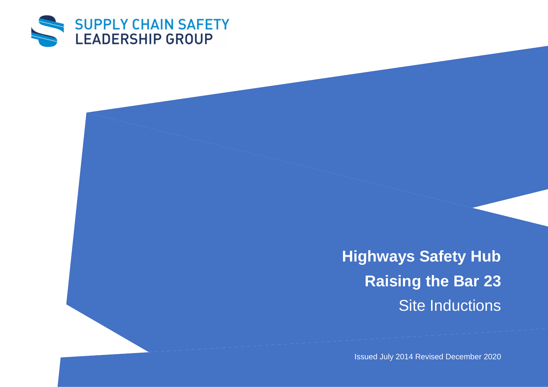

**Highways Safety Hub Raising the Bar 23** Site Inductions

Issued July 2014 Revised December 2020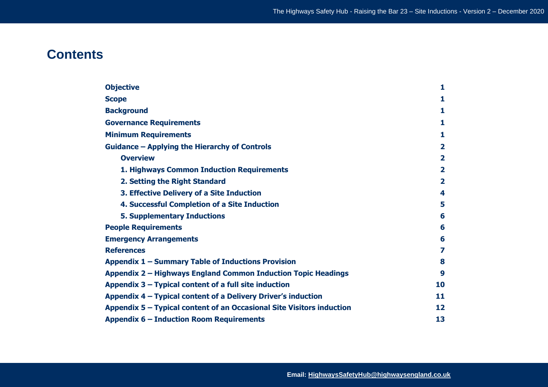# **Contents**

| <b>Objective</b>                                                      | 1                       |  |  |  |  |  |  |
|-----------------------------------------------------------------------|-------------------------|--|--|--|--|--|--|
| <b>Scope</b>                                                          | 1                       |  |  |  |  |  |  |
| <b>Background</b>                                                     |                         |  |  |  |  |  |  |
| <b>Governance Requirements</b>                                        |                         |  |  |  |  |  |  |
| <b>Minimum Requirements</b>                                           |                         |  |  |  |  |  |  |
| Guidance – Applying the Hierarchy of Controls                         |                         |  |  |  |  |  |  |
| <b>Overview</b>                                                       | $\overline{\mathbf{2}}$ |  |  |  |  |  |  |
| 1. Highways Common Induction Requirements                             | $\overline{\mathbf{2}}$ |  |  |  |  |  |  |
| 2. Setting the Right Standard                                         | $\overline{\mathbf{2}}$ |  |  |  |  |  |  |
| 3. Effective Delivery of a Site Induction                             | 4                       |  |  |  |  |  |  |
| 4. Successful Completion of a Site Induction                          | 5                       |  |  |  |  |  |  |
| <b>5. Supplementary Inductions</b>                                    | 6                       |  |  |  |  |  |  |
| <b>People Requirements</b>                                            |                         |  |  |  |  |  |  |
| <b>Emergency Arrangements</b>                                         |                         |  |  |  |  |  |  |
| <b>References</b>                                                     | 7                       |  |  |  |  |  |  |
| Appendix 1 – Summary Table of Inductions Provision                    |                         |  |  |  |  |  |  |
| Appendix 2 - Highways England Common Induction Topic Headings         |                         |  |  |  |  |  |  |
| Appendix $3$ – Typical content of a full site induction               |                         |  |  |  |  |  |  |
| Appendix 4 – Typical content of a Delivery Driver's induction         |                         |  |  |  |  |  |  |
| Appendix 5 – Typical content of an Occasional Site Visitors induction |                         |  |  |  |  |  |  |
| <b>Appendix 6 - Induction Room Requirements</b>                       |                         |  |  |  |  |  |  |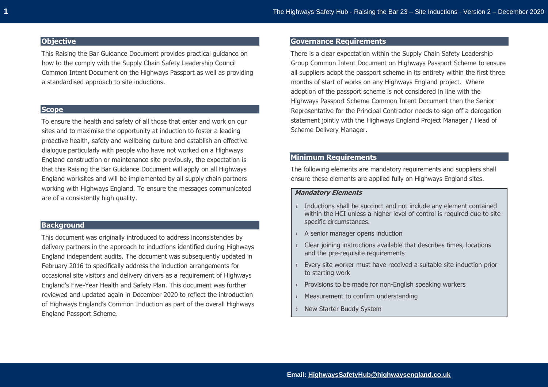# **Objective**

This Raising the Bar Guidance Document provides practical guidance on how to the comply with the Supply Chain Safety Leadership Council Common Intent Document on the Highways Passport as well as providing a standardised approach to site inductions.

# **Scope**

To ensure the health and safety of all those that enter and work on our sites and to maximise the opportunity at induction to foster a leading proactive health, safety and wellbeing culture and establish an effective dialogue particularly with people who have not worked on a Highways England construction or maintenance site previously, the expectation is that this Raising the Bar Guidance Document will apply on all Highways England worksites and will be implemented by all supply chain partners working with Highways England. To ensure the messages communicated are of a consistently high quality.

# **Background**

This document was originally introduced to address inconsistencies by delivery partners in the approach to inductions identified during Highways England independent audits. The document was subsequently updated in February 2016 to specifically address the induction arrangements for occasional site visitors and delivery drivers as a requirement of Highways England's Five-Year Health and Safety Plan. This document was further reviewed and updated again in December 2020 to reflect the introduction of Highways England's Common Induction as part of the overall Highways England Passport Scheme.

## **Governance Requirements**

There is a clear expectation within the Supply Chain Safety Leadership Group Common Intent Document on Highways Passport Scheme to ensure all suppliers adopt the passport scheme in its entirety within the first three months of start of works on any Highways England project. Where adoption of the passport scheme is not considered in line with the Highways Passport Scheme Common Intent Document then the Senior Representative for the Principal Contractor needs to sign off a derogation statement jointly with the Highways England Project Manager / Head of Scheme Delivery Manager.

# **Minimum Requirements**

The following elements are mandatory requirements and suppliers shall ensure these elements are applied fully on Highways England sites.

## **Mandatory Elements**

- $\rightarrow$  Inductions shall be succinct and not include any element contained within the HCI unless a higher level of control is required due to site specific circumstances.
- › A senior manager opens induction
- › Clear joining instructions available that describes times, locations and the pre-requisite requirements
- › Every site worker must have received a suitable site induction prior to starting work
- › Provisions to be made for non-English speaking workers
- › Measurement to confirm understanding
- › New Starter Buddy System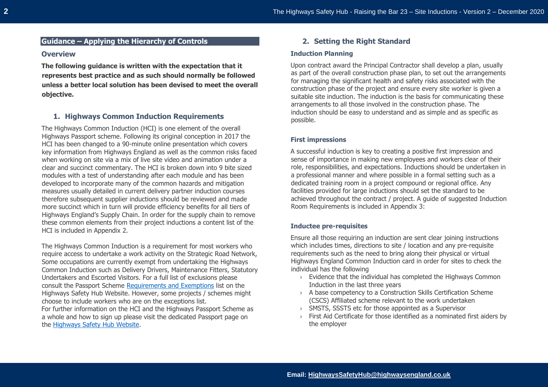# **Overview**

**The following guidance is written with the expectation that it represents best practice and as such should normally be followed unless a better local solution has been devised to meet the overall objective.** 

# **1. Highways Common Induction Requirements**

The Highways Common Induction (HCI) is one element of the overall Highways Passport scheme. Following its original conception in 2017 the HCI has been changed to a 90-minute online presentation which covers key information from Highways England as well as the common risks faced when working on site via a mix of live site video and animation under a clear and succinct commentary. The HCI is broken down into 9 bite sized modules with a test of understanding after each module and has been developed to incorporate many of the common hazards and mitigation measures usually detailed in current delivery partner induction courses therefore subsequent supplier inductions should be reviewed and made more succinct which in turn will provide efficiency benefits for all tiers of Highways England's Supply Chain. In order for the supply chain to remove these common elements from their project inductions a content list of the HCI is included in Appendix 2.

The Highways Common Induction is a requirement for most workers who require access to undertake a work activity on the Strategic Road Network, Some occupations are currently exempt from undertaking the Highways Common Induction such as Delivery Drivers, Maintenance Fitters, Statutory Undertakers and Escorted Visitors. For a full list of exclusions please consult the Passport Scheme [Requirements and Exemptions](https://www.highwayssafetyhub.com/uploads/5/1/2/9/51294565/passport_requirments-exemptions.pdf) list on the Highways Safety Hub Website. However, some projects / schemes might choose to include workers who are on the exceptions list. For further information on the HCI and the Highways Passport Scheme as a whole and how to sign up please visit the dedicated Passport page on the [Highways Safety Hub Website.](https://www.highwayssafetyhub.com/passport-scheme.html)

# **2. Setting the Right Standard**

#### **Induction Planning**

Upon contract award the Principal Contractor shall develop a plan, usually as part of the overall construction phase plan, to set out the arrangements for managing the significant health and safety risks associated with the construction phase of the project and ensure every site worker is given a suitable site induction. The induction is the basis for communicating these arrangements to all those involved in the construction phase. The induction should be easy to understand and as simple and as specific as possible.

# **First impressions**

A successful induction is key to creating a positive first impression and sense of importance in making new employees and workers clear of their role, responsibilities, and expectations. Inductions should be undertaken in a professional manner and where possible in a formal setting such as a dedicated training room in a project compound or regional office. Any facilities provided for large inductions should set the standard to be achieved throughout the contract / project. A guide of suggested Induction Room Requirements is included in Appendix 3:

# **Inductee pre-requisites**

Ensure all those requiring an induction are sent clear joining instructions which includes times, directions to site / location and any pre-requisite requirements such as the need to bring along their physical or virtual Highways England Common Induction card in order for sites to check the individual has the following

- › Evidence that the individual has completed the Highways Common Induction in the last three years
- › A base competency to a Construction Skills Certification Scheme (CSCS) Affiliated scheme relevant to the work undertaken
- › SMSTS, SSSTS etc for those appointed as a Supervisor
- $\rightarrow$  First Aid Certificate for those identified as a nominated first aiders by the employer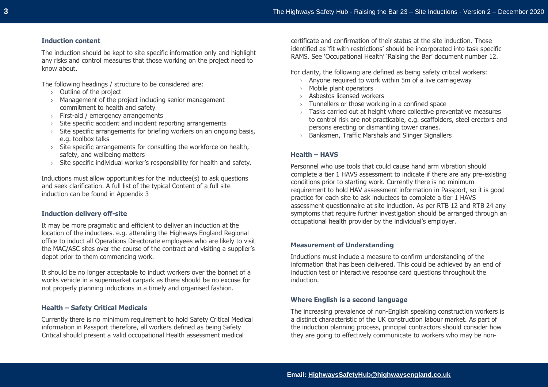## **Induction content**

The induction should be kept to site specific information only and highlight any risks and control measures that those working on the project need to know about.

The following headings / structure to be considered are:

- › Outline of the project
- › Management of the project including senior management commitment to health and safety
- › First-aid / emergency arrangements
- › Site specific accident and incident reporting arrangements
- $\rightarrow$  Site specific arrangements for briefing workers on an ongoing basis, e.g. toolbox talks
- $\rightarrow$  Site specific arrangements for consulting the workforce on health, safety, and wellbeing matters
- › Site specific individual worker's responsibility for health and safety.

Inductions must allow opportunities for the inductee(s) to ask questions and seek clarification. A full list of the typical Content of a full site induction can be found in Appendix 3

# **Induction delivery off-site**

It may be more pragmatic and efficient to deliver an induction at the location of the inductees. e.g. attending the Highways England Regional office to induct all Operations Directorate employees who are likely to visit the MAC/ASC sites over the course of the contract and visiting a supplier's depot prior to them commencing work.

It should be no longer acceptable to induct workers over the bonnet of a works vehicle in a supermarket carpark as there should be no excuse for not properly planning inductions in a timely and organised fashion.

# **Health – Safety Critical Medicals**

Currently there is no minimum requirement to hold Safety Critical Medical information in Passport therefore, all workers defined as being Safety Critical should present a valid occupational Health assessment medical

certificate and confirmation of their status at the site induction. Those identified as 'fit with restrictions' should be incorporated into task specific RAMS. See 'Occupational Health' 'Raising the Bar' document number 12.

For clarity, the following are defined as being safety critical workers:

- › Anyone required to work within 5m of a live carriageway
- › Mobile plant operators
- › Asbestos licensed workers
- › Tunnellers or those working in a confined space
- $\rightarrow$  Tasks carried out at height where collective preventative measures to control risk are not practicable, e.g. scaffolders, steel erectors and persons erecting or dismantling tower cranes.
- › Banksmen, Traffic Marshals and Slinger Signallers

# **Health – HAVS**

Personnel who use tools that could cause hand arm vibration should complete a tier 1 HAVS assessment to indicate if there are any pre-existing conditions prior to starting work. Currently there is no minimum requirement to hold HAV assessment information in Passport, so it is good practice for each site to ask inductees to complete a tier 1 HAVS assessment questionnaire at site induction. As per RTB 12 and RTB 24 any symptoms that require further investigation should be arranged through an occupational health provider by the individual's employer.

## **Measurement of Understanding**

Inductions must include a measure to confirm understanding of the information that has been delivered. This could be achieved by an end of induction test or interactive response card questions throughout the induction.

## **Where English is a second language**

The increasing prevalence of non-English speaking construction workers is a distinct characteristic of the UK construction labour market. As part of the induction planning process, principal contractors should consider how they are going to effectively communicate to workers who may be non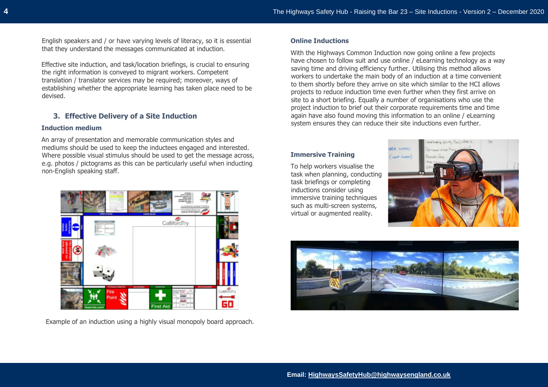English speakers and / or have varying levels of literacy, so it is essential that they understand the messages communicated at induction.

Effective site induction, and task/location briefings, is crucial to ensuring the right information is conveyed to migrant workers. Competent translation / translator services may be required; moreover, ways of establishing whether the appropriate learning has taken place need to be devised.

# **3. Effective Delivery of a Site Induction**

#### **Induction medium**

An array of presentation and memorable communication styles and mediums should be used to keep the inductees engaged and interested. Where possible visual stimulus should be used to get the message across, e.g. photos / pictograms as this can be particularly useful when inducting non-English speaking staff.



Example of an induction using a highly visual monopoly board approach.

#### **Online Inductions**

With the Highways Common Induction now going online a few projects have chosen to follow suit and use online / eLearning technology as a way saving time and driving efficiency further. Utilising this method allows workers to undertake the main body of an induction at a time convenient to them shortly before they arrive on site which similar to the HCI allows projects to reduce induction time even further when they first arrive on site to a short briefing. Equally a number of organisations who use the project induction to brief out their corporate requirements time and time again have also found moving this information to an online / eLearning system ensures they can reduce their site inductions even further.

#### **Immersive Training**

To help workers visualise the task when planning, conducting task briefings or completing inductions consider using immersive training techniques such as multi-screen systems, virtual or augmented reality.



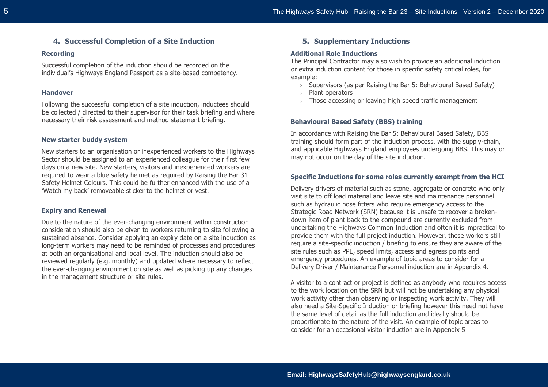# **4. Successful Completion of a Site Induction**

#### **Recording**

Successful completion of the induction should be recorded on the individual's Highways England Passport as a site-based competency.

#### **Handover**

Following the successful completion of a site induction, inductees should be collected / directed to their supervisor for their task briefing and where necessary their risk assessment and method statement briefing.

#### **New starter buddy system**

New starters to an organisation or inexperienced workers to the Highways Sector should be assigned to an experienced colleague for their first few days on a new site. New starters, visitors and inexperienced workers are required to wear a blue safety helmet as required by Raising the Bar 31 Safety Helmet Colours. This could be further enhanced with the use of a 'Watch my back' removeable sticker to the helmet or vest.

#### **Expiry and Renewal**

Due to the nature of the ever-changing environment within construction consideration should also be given to workers returning to site following a sustained absence. Consider applying an expiry date on a site induction as long-term workers may need to be reminded of processes and procedures at both an organisational and local level. The induction should also be reviewed regularly (e.g. monthly) and updated where necessary to reflect the ever-changing environment on site as well as picking up any changes in the management structure or site rules.

# **5. Supplementary Inductions**

#### **Additional Role Inductions**

The Principal Contractor may also wish to provide an additional induction or extra induction content for those in specific safety critical roles, for example:

- › Supervisors (as per Raising the Bar 5: Behavioural Based Safety)
- › Plant operators
- › Those accessing or leaving high speed traffic management

#### **Behavioural Based Safety (BBS) training**

In accordance with Raising the Bar 5: Behavioural Based Safety, BBS training should form part of the induction process, with the supply-chain, and applicable Highways England employees undergoing BBS. This may or may not occur on the day of the site induction.

## **Specific Inductions for some roles currently exempt from the HCI**

Delivery drivers of material such as stone, aggregate or concrete who only visit site to off load material and leave site and maintenance personnel such as hydraulic hose fitters who require emergency access to the Strategic Road Network (SRN) because it is unsafe to recover a brokendown item of plant back to the compound are currently excluded from undertaking the Highways Common Induction and often it is impractical to provide them with the full project induction. However, these workers still require a site-specific induction / briefing to ensure they are aware of the site rules such as PPE, speed limits, access and egress points and emergency procedures. An example of topic areas to consider for a Delivery Driver / Maintenance Personnel induction are in Appendix 4.

A visitor to a contract or project is defined as anybody who requires access to the work location on the SRN but will not be undertaking any physical work activity other than observing or inspecting work activity. They will also need a Site-Specific Induction or briefing however this need not have the same level of detail as the full induction and ideally should be proportionate to the nature of the visit. An example of topic areas to consider for an occasional visitor induction are in Appendix 5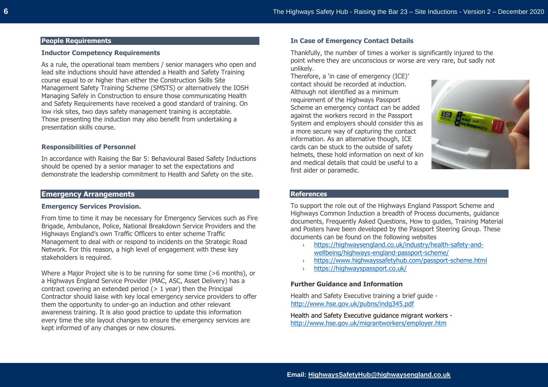# **People Requirements**

# **Inductor Competency Requirements**

As a rule, the operational team members / senior managers who open and lead site inductions should have attended a Health and Safety Training course equal to or higher than either the Construction Skills Site Management Safety Training Scheme (SMSTS) or alternatively the IOSH Managing Safely in Construction to ensure those communicating Health and Safety Requirements have received a good standard of training. On low risk sites, two days safety management training is acceptable. Those presenting the induction may also benefit from undertaking a presentation skills course.

#### **Responsibilities of Personnel**

In accordance with Raising the Bar 5: Behavioural Based Safety Inductions should be opened by a senior manager to set the expectations and demonstrate the leadership commitment to Health and Safety on the site.

# **Emergency Arrangements**

#### **Emergency Services Provision.**

From time to time it may be necessary for Emergency Services such as Fire Brigade, Ambulance, Police, National Breakdown Service Providers and the Highways England's own Traffic Officers to enter scheme Traffic Management to deal with or respond to incidents on the Strategic Road Network. For this reason, a high level of engagement with these key stakeholders is required.

Where a Major Project site is to be running for some time (>6 months), or a Highways England Service Provider (MAC, ASC, Asset Delivery) has a contract covering an extended period  $(> 1$  year) then the Principal Contractor should liaise with key local emergency service providers to offer them the opportunity to under-go an induction and other relevant awareness training. It is also good practice to update this information every time the site layout changes to ensure the emergency services are kept informed of any changes or new closures.

#### **In Case of Emergency Contact Details**

Thankfully, the number of times a worker is significantly injured to the point where they are unconscious or worse are very rare, but sadly not unlikely.

Therefore, a 'in case of emergency (ICE)' contact should be recorded at induction. Although not identified as a minimum requirement of the Highways Passport Scheme an emergency contact can be added against the workers record in the Passport System and employers should consider this as a more secure way of capturing the contact information. As an alternative though, ICE cards can be stuck to the outside of safety helmets, these hold information on next of kin and medical details that could be useful to a first aider or paramedic.



# **References**

To support the role out of the Highways England Passport Scheme and Highways Common Induction a breadth of Process documents, guidance documents, Frequently Asked Questions, How to guides, Training Material and Posters have been developed by the Passport Steering Group. These documents can be found on the following websites

- › [https://highwaysengland.co.uk/industry/health-safety-and](https://highwaysengland.co.uk/industry/health-safety-and-wellbeing/highways-england-passport-scheme/)[wellbeing/highways-england-passport-scheme/](https://highwaysengland.co.uk/industry/health-safety-and-wellbeing/highways-england-passport-scheme/)
- › <https://www.highwayssafetyhub.com/passport-scheme.html>
- › <https://highwayspassport.co.uk/>

#### **Further Guidance and Information**

Health and Safety Executive training a brief guide <http://www.hse.gov.uk/pubns/indg345.pdf>

Health and Safety Executive guidance migrant workers <http://www.hse.gov.uk/migrantworkers/employer.htm>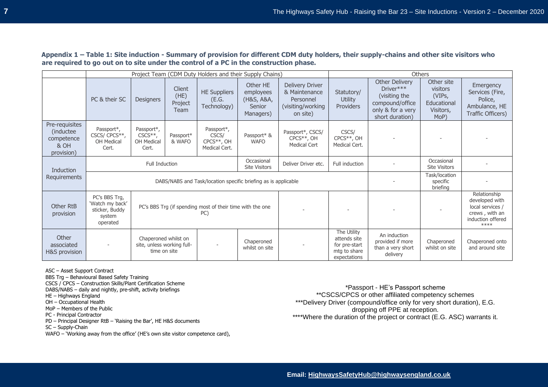**Appendix 1 – Table 1: Site induction - Summary of provision for different CDM duty holders, their supply-chains and other site visitors who are required to go out on to site under the control of a PC in the construction phase.** 

|                                                                  | Project Team (CDM Duty Holders and their Supply Chains)                                                                                      |                                                 |                                   |                                                       |                                                                   | Others                                                                                 |                                                                              |                                                                                                         |                                                                                                   |                                                                               |
|------------------------------------------------------------------|----------------------------------------------------------------------------------------------------------------------------------------------|-------------------------------------------------|-----------------------------------|-------------------------------------------------------|-------------------------------------------------------------------|----------------------------------------------------------------------------------------|------------------------------------------------------------------------------|---------------------------------------------------------------------------------------------------------|---------------------------------------------------------------------------------------------------|-------------------------------------------------------------------------------|
|                                                                  | PC & their SC                                                                                                                                | <b>Designers</b>                                | Client<br>(HE)<br>Project<br>Team | <b>HE Suppliers</b><br>(E.G.<br>Technology)           | Other HE<br>employees<br>(H&S, A&A,<br><b>Senior</b><br>Managers) | <b>Delivery Driver</b><br>& Maintenance<br>Personnel<br>(visiting/working)<br>on site) | Statutory/<br><b>Utility</b><br><b>Providers</b>                             | Other Delivery<br>Driver***<br>(visiting the<br>compound/office<br>only & for a very<br>short duration) | Other site<br>visitors<br>(VIPs,<br>Educational<br>Visitors,<br>MoP)                              | Emergency<br>Services (Fire,<br>Police,<br>Ambulance, HE<br>Traffic Officers) |
| Pre-requisites<br>(inductee)<br>competence<br>& OH<br>provision) | Passport*,<br>CSCS/ CPCS**,<br>OH Medical<br>Cert.                                                                                           | Passport*,<br>$CSCS**$ ,<br>OH Medical<br>Cert. | Passport*<br>& WAFO               | Passport*,<br>CSCS/<br>$CPCS**$ , OH<br>Medical Cert. | Passport* &<br><b>WAFO</b>                                        | Passport*, CSCS/<br>CPCS**, OH<br><b>Medical Cert</b>                                  | CSCS/<br>CPCS <sup>**</sup> , OH<br>Medical Cert.                            |                                                                                                         |                                                                                                   |                                                                               |
| <b>Induction</b><br>Requirements                                 | <b>Full Induction</b>                                                                                                                        |                                                 |                                   |                                                       | Occasional<br><b>Site Visitors</b>                                | Deliver Driver etc.                                                                    | Full induction                                                               |                                                                                                         | Occasional<br><b>Site Visitors</b>                                                                |                                                                               |
|                                                                  | DABS/NABS and Task/location specific briefing as is applicable                                                                               |                                                 |                                   |                                                       |                                                                   |                                                                                        |                                                                              | Task/location<br>specific<br>briefing                                                                   |                                                                                                   |                                                                               |
| Other RtB<br>provision                                           | PC's BBS Trg,<br>'Watch my back'<br>PC's BBS Trg (if spending most of their time with the one<br>sticker, Buddy<br>PC)<br>system<br>operated |                                                 |                                   |                                                       |                                                                   |                                                                                        |                                                                              |                                                                                                         | Relationship<br>developed with<br>local services /<br>crews, with an<br>induction offered<br>**** |                                                                               |
| Other<br>associated<br>H&S provision                             |                                                                                                                                              | site, unless working full-<br>time on site      | Chaperoned whilst on              |                                                       | Chaperoned<br>whilst on site                                      |                                                                                        | The Utility<br>attends site<br>for pre-start<br>mtg to share<br>expectations | An induction<br>provided if more<br>than a very short<br>delivery                                       | Chaperoned<br>whilst on site                                                                      | Chaperoned onto<br>and around site                                            |

ASC – Asset Support Contract

BBS Trg – Behavioural Based Safety Training

CSCS / CPCS – Construction Skills/Plant Certification Scheme

DABS/NABS – daily and nightly, pre-shift, activity briefings

HE – Highways England

OH – Occupational Health

MoP – Members of the Public

PC - Principal Contractor

PD – Principal Designer RtB – 'Raising the Bar', HE H&S documents

SC – Supply-Chain

WAFO – 'Working away from the office' (HE's own site visitor competence card),

\*Passport - HE's Passport scheme \*\*CSCS/CPCS or other affiliated competency schemes \*\*\*Delivery Driver (compound/office only for very short duration), E.G. dropping off PPE at reception. \*\*\*\*Where the duration of the project or contract (E.G. ASC) warrants it.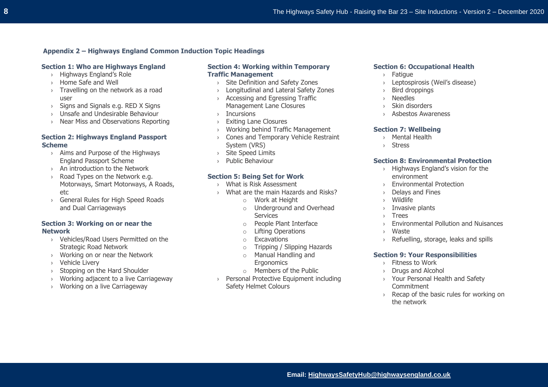# **Appendix 2 – Highways England Common Induction Topic Headings**

## **Section 1: Who are Highways England**

- › Highways England's Role
- › Home Safe and Well
- › Travelling on the network as a road user
- › Signs and Signals e.g. RED X Signs
- › Unsafe and Undesirable Behaviour
- › Near Miss and Observations Reporting

# **Section 2: Highways England Passport Scheme**

- › Aims and Purpose of the Highways England Passport Scheme
- › An introduction to the Network
- › Road Types on the Network e.g. Motorways, Smart Motorways, A Roads, etc
- › General Rules for High Speed Roads and Dual Carriageways

## **Section 3: Working on or near the Network**

- › Vehicles/Road Users Permitted on the Strategic Road Network
- › Working on or near the Network
- › Vehicle Livery
- › Stopping on the Hard Shoulder
- › Working adjacent to a live Carriageway
- › Working on a live Carriageway

## **Section 4: Working within Temporary Traffic Management**

- › Site Definition and Safety Zones
- Longitudinal and Lateral Safety Zones
- › Accessing and Egressing Traffic Management Lane Closures
- › Incursions
- › Exiting Lane Closures
- › Working behind Traffic Management
- › Cones and Temporary Vehicle Restraint System (VRS)
- › Site Speed Limits
- › Public Behaviour

## **Section 5: Being Set for Work**

- › What is Risk Assessment
- › What are the main Hazards and Risks?
	- o Work at Height
	- o Underground and Overhead **Services**
	- o People Plant Interface
	- o Lifting Operations
	- o Excavations
	- o Tripping / Slipping Hazards
	- o Manual Handling and
		- **Ergonomics**
	- $\circ$  Members of the Public
- › Personal Protective Equipment including Safety Helmet Colours

## **Section 6: Occupational Health**

- › Fatigue
- › Leptospirosis (Weil's disease)
- › Bird droppings
- › Needles
- Skin disorders
- › Asbestos Awareness

#### **Section 7: Wellbeing**

- › Mental Health
- › Stress

#### **Section 8: Environmental Protection**

- › Highways England's vision for the environment
- **Environmental Protection**
- › Delays and Fines
- › Wildlife
- › Invasive plants
- › Trees
- › Environmental Pollution and Nuisances
- › Waste
- Refuelling, storage, leaks and spills

# **Section 9: Your Responsibilities**

- › Fitness to Work
- › Drugs and Alcohol
- › Your Personal Health and Safety **Commitment**
- › Recap of the basic rules for working on the network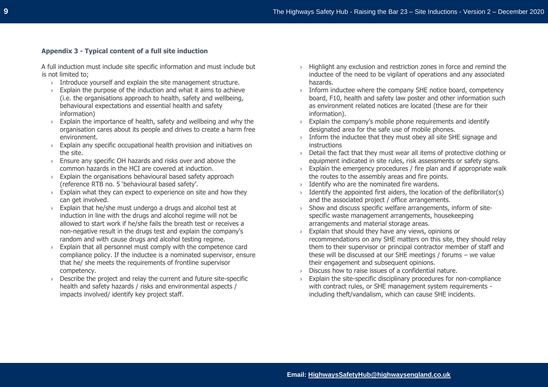# **Appendix 3 - Typical content of a full site induction**

A full induction must include site specific information and must include but is not limited to;

- › Introduce yourself and explain the site management structure.
- $\rightarrow$  Explain the purpose of the induction and what it aims to achieve (i.e. the organisations approach to health, safety and wellbeing, behavioural expectations and essential health and safety information)
- $\rightarrow$  Explain the importance of health, safety and wellbeing and why the organisation cares about its people and drives to create a harm free environment.
- $\rightarrow$  Explain any specific occupational health provision and initiatives on the site.
- › Ensure any specific OH hazards and risks over and above the common hazards in the HCI are covered at induction.
- $\rightarrow$  Explain the organisations behavioural based safety approach (reference RTB no. 5 'behavioural based safety'.
- $\rightarrow$  Explain what they can expect to experience on site and how they can get involved.
- $\rightarrow$  Explain that he/she must undergo a drugs and alcohol test at induction in line with the drugs and alcohol regime will not be allowed to start work if he/she fails the breath test or receives a non-negative result in the drugs test and explain the company's random and with cause drugs and alcohol testing regime.
- › Explain that all personnel must comply with the competence card compliance policy. If the inductee is a nominated supervisor, ensure that he/ she meets the requirements of frontline supervisor competency.
- Describe the project and relay the current and future site-specific health and safety hazards / risks and environmental aspects / impacts involved/ identify key project staff.
- $\rightarrow$  Highlight any exclusion and restriction zones in force and remind the inductee of the need to be vigilant of operations and any associated hazards.
- $\rightarrow$  Inform inductee where the company SHE notice board, competency board, F10, health and safety law poster and other information such as environment related notices are located (these are for their information).
- $\rightarrow$  Explain the company's mobile phone requirements and identify designated area for the safe use of mobile phones.
- $\rightarrow$  Inform the inductee that they must obey all site SHE signage and instructions
- › Detail the fact that they must wear all items of protective clothing or equipment indicated in site rules, risk assessments or safety signs.
- $\rightarrow$  Explain the emergency procedures / fire plan and if appropriate walk the routes to the assembly areas and fire points.
- › Identify who are the nominated fire wardens.
- $\rightarrow$  Identify the appointed first aiders, the location of the defibrillator(s) and the associated project / office arrangements.
- › Show and discuss specific welfare arrangements, inform of sitespecific waste management arrangements, housekeeping arrangements and material storage areas.
- › Explain that should they have any views, opinions or recommendations on any SHE matters on this site, they should relay them to their supervisor or principal contractor member of staff and these will be discussed at our SHE meetings / forums – we value their engagement and subsequent opinions.
- › Discuss how to raise issues of a confidential nature.
- $\rightarrow$  Explain the site-specific disciplinary procedures for non-compliance with contract rules, or SHE management system requirements including theft/vandalism, which can cause SHE incidents.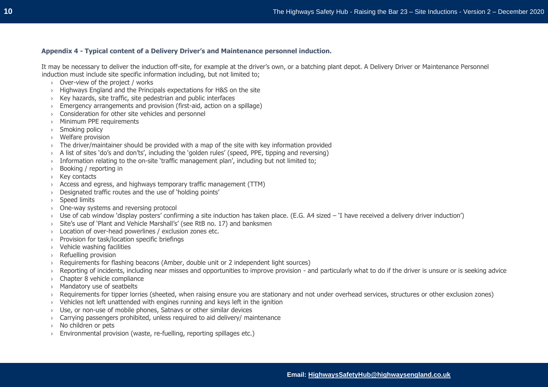## **Appendix 4 - Typical content of a Delivery Driver's and Maintenance personnel induction.**

It may be necessary to deliver the induction off-site, for example at the driver's own, or a batching plant depot. A Delivery Driver or Maintenance Personnel induction must include site specific information including, but not limited to;

- › Over-view of the project / works
- › Highways England and the Principals expectations for H&S on the site
- › Key hazards, site traffic, site pedestrian and public interfaces
- › Emergency arrangements and provision (first-aid, action on a spillage)
- › Consideration for other site vehicles and personnel
- › Minimum PPE requirements
- › Smoking policy
- › Welfare provision
- › The driver/maintainer should be provided with a map of the site with key information provided
- › A list of sites 'do's and don'ts', including the 'golden rules' (speed, PPE, tipping and reversing)
- $\rightarrow$  Information relating to the on-site 'traffic management plan', including but not limited to;
- › Booking / reporting in
- › Key contacts
- › Access and egress, and highways temporary traffic management (TTM)
- › Designated traffic routes and the use of 'holding points'
- › Speed limits
- › One-way systems and reversing protocol
- > Use of cab window 'display posters' confirming a site induction has taken place. (E.G. A4 sized 'I have received a delivery driver induction')
- › Site's use of 'Plant and Vehicle Marshall's' (see RtB no. 17) and banksmen
- › Location of over-head powerlines / exclusion zones etc.
- › Provision for task/location specific briefings
- › Vehicle washing facilities
- › Refuelling provision
- › Requirements for flashing beacons (Amber, double unit or 2 independent light sources)
- › Reporting of incidents, including near misses and opportunities to improve provision and particularly what to do if the driver is unsure or is seeking advice
- › Chapter 8 vehicle compliance
- › Mandatory use of seatbelts
- › Requirements for tipper lorries (sheeted, when raising ensure you are stationary and not under overhead services, structures or other exclusion zones)
- › Vehicles not left unattended with engines running and keys left in the ignition
- Use, or non-use of mobile phones, Satnavs or other similar devices
- › Carrying passengers prohibited, unless required to aid delivery/ maintenance
- No children or pets
- › Environmental provision (waste, re-fuelling, reporting spillages etc.)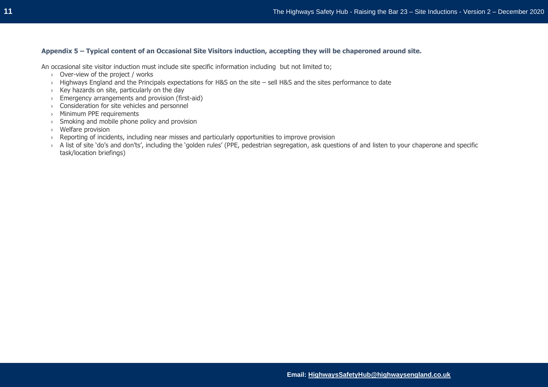# **Appendix 5 – Typical content of an Occasional Site Visitors induction, accepting they will be chaperoned around site.**

An occasional site visitor induction must include site specific information including but not limited to;

- › Over-view of the project / works
- › Highways England and the Principals expectations for H&S on the site sell H&S and the sites performance to date
- › Key hazards on site, particularly on the day
- › Emergency arrangements and provision (first-aid)
- › Consideration for site vehicles and personnel
- › Minimum PPE requirements
- $\rightarrow$  Smoking and mobile phone policy and provision
- › Welfare provision
- › Reporting of incidents, including near misses and particularly opportunities to improve provision
- > A list of site 'do's and don'ts', including the 'golden rules' (PPE, pedestrian segregation, ask questions of and listen to your chaperone and specific task/location briefings)